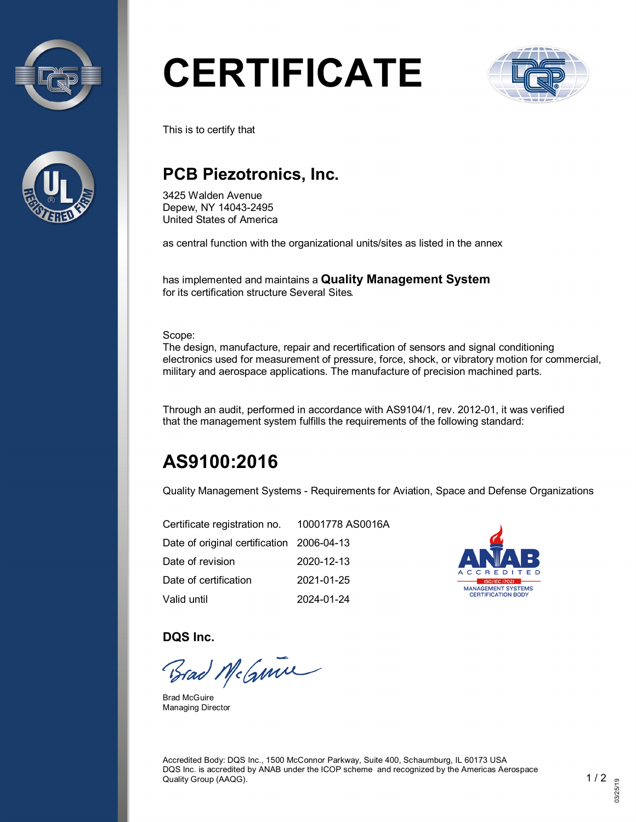



# **CERTIFICATE**



This is to certify that

## **PCB Piezotronics, Inc.**

3425 Walden Avenue Depew, NY 14043-2495 United States of America

as central function with the organizational units/sites as listed in the annex

has implemented and maintains a **Quality Management System** for its certification structure Several Sites.

Scope:

The design, manufacture, repair and recertification of sensors and signal conditioning electronics used for measurement of pressure, force, shock, or vibratory motion for commercial, military and aerospace applications. The manufacture of precision machined parts.

Through an audit, performed in accordance with AS9104/1, rev. 2012-01, it was verified that the management system fulfills the requirements of the following standard:

# **AS9100:2016**

Quality Management Systems - Requirements for Aviation, Space and Defense Organizations

| Certificate registration no. 10001778 AS0016A |            |
|-----------------------------------------------|------------|
| Date of original certification 2006-04-13     |            |
| Date of revision                              | 2020-12-13 |
| Date of certification                         | 2021-01-25 |
| Valid until                                   | 2024-01-24 |



**DQS Inc.**

Brad McGmin

Brad McGuire Managing Director

Accredited Body: DQS Inc., 1500 McConnor Parkway, Suite 400, Schaumburg, IL 60173 USA DQS Inc. is accredited by ANAB under the ICOP scheme and recognized by the Americas Aerospace Quality Group (AAQG). 1 / 2  $\sim$  1 / 2  $\sim$  1 / 2  $\sim$  1 / 2  $\sim$  1 / 2  $\sim$  1 / 2  $\sim$  1  $\sim$  1  $\sim$  2  $\sim$  1  $\sim$  2  $\sim$  1  $\sim$  2  $\sim$  1  $\sim$  2  $\sim$  1  $\sim$  2  $\sim$  1  $\sim$  2  $\sim$  2  $\sim$  1  $\sim$  2  $\sim$  2  $\sim$  2  $\sim$  2  $\sim$  2